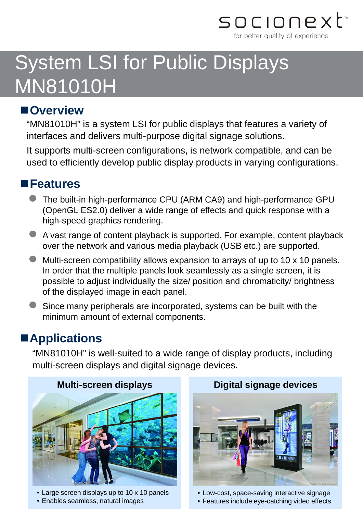

# System LSI for Public Displays MN81010H

#### **Overview**

"MN81010H" is a system LSI for public displays that features a variety of interfaces and delivers multi-purpose digital signage solutions.

It supports multi-screen configurations, is network compatible, and can be used to efficiently develop public display products in varying configurations.

#### **Features**

- The built-in high-performance CPU (ARM CA9) and high-performance GPU (OpenGL ES2.0) deliver a wide range of effects and quick response with a high-speed graphics rendering.
- A vast range of content playback is supported. For example, content playback over the network and various media playback (USB etc.) are supported.
- Multi-screen compatibility allows expansion to arrays of up to 10 x 10 panels. In order that the multiple panels look seamlessly as a single screen, it is possible to adjust individually the size/ position and chromaticity/ brightness of the displayed image in each panel.
- Since many peripherals are incorporated, systems can be built with the minimum amount of external components.

### **Applications**

"MN81010H" is well-suited to a wide range of display products, including multi-screen displays and digital signage devices.

#### **Multi-screen displays**



• Large screen displays up to 10 x 10 panels





• Low-cost, space-saving interactive signage

• Features include eye-catching video effects

#### **Digital signage devices**